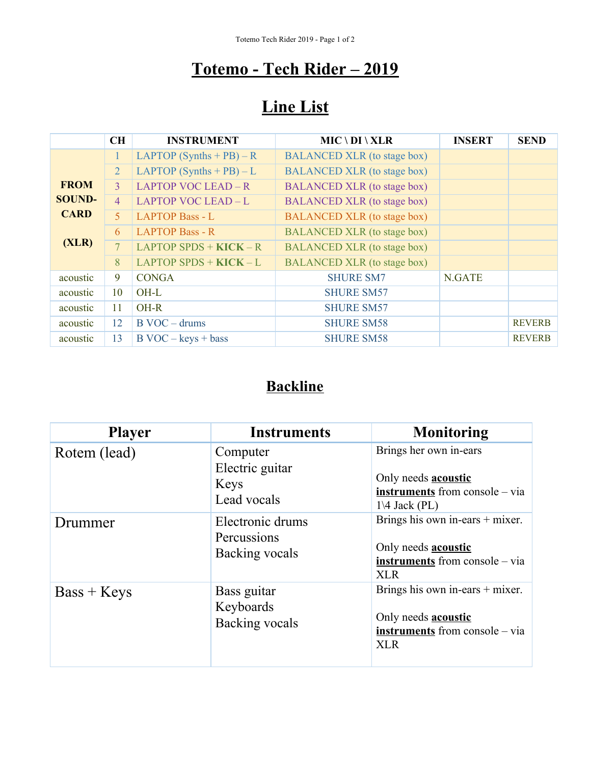## **Totemo - Tech Rider – 2019**

# **Line List**

|               | CH             | <b>INSTRUMENT</b>             | $MIC \setminus DI \setminus XLR$   | <b>INSERT</b> | <b>SEND</b>   |
|---------------|----------------|-------------------------------|------------------------------------|---------------|---------------|
|               | 1.             | LAPTOP $(Synthesis + PB) - R$ | <b>BALANCED XLR</b> (to stage box) |               |               |
|               | $\overline{2}$ | LAPTOP $(Synthesis + PB) - L$ | <b>BALANCED XLR</b> (to stage box) |               |               |
| <b>FROM</b>   | $\mathcal{E}$  | LAPTOP VOC LEAD - R           | <b>BALANCED XLR</b> (to stage box) |               |               |
| <b>SOUND-</b> | $\overline{4}$ | LAPTOP VOC LEAD-L             | <b>BALANCED XLR</b> (to stage box) |               |               |
| <b>CARD</b>   | 5 <sup>1</sup> | <b>LAPTOP Bass - L</b>        | <b>BALANCED XLR</b> (to stage box) |               |               |
| (XLR)         | 6              | <b>LAPTOP Bass - R</b>        | <b>BALANCED XLR</b> (to stage box) |               |               |
|               | 7 <sup>1</sup> | LAPTOP SPDS + $KICK - R$      | <b>BALANCED XLR</b> (to stage box) |               |               |
|               | 8              | $LAPTOP$ SPDS + $KICK - L$    | <b>BALANCED XLR</b> (to stage box) |               |               |
| acoustic      | 9              | <b>CONGA</b>                  | <b>SHURE SM7</b>                   | N.GATE        |               |
| acoustic      | 10             | OH-L                          | <b>SHURE SM57</b>                  |               |               |
| acoustic      | 11             | OH-R                          | <b>SHURE SM57</b>                  |               |               |
| acoustic      | 12             | $B$ VOC – drums               | <b>SHURE SM58</b>                  |               | <b>REVERB</b> |
| acoustic      | 13             | $B$ VOC – keys + bass         | <b>SHURE SM58</b>                  |               | <b>REVERB</b> |

## **Backline**

| <b>Player</b> | <b>Instruments</b>                                 | <b>Monitoring</b>                                                                                                          |
|---------------|----------------------------------------------------|----------------------------------------------------------------------------------------------------------------------------|
| Rotem (lead)  | Computer<br>Electric guitar<br>Keys<br>Lead vocals | Brings her own in-ears<br>Only needs <b>acoustic</b><br><b>instruments</b> from console – via<br>$1\backslash 4$ Jack (PL) |
| Drummer       | Electronic drums<br>Percussions<br>Backing vocals  | Brings his own in-ears $+$ mixer.<br>Only needs <b>acoustic</b><br><b>instruments</b> from console – via<br><b>XLR</b>     |
| $Bass + Keys$ | Bass guitar<br>Keyboards<br>Backing vocals         | Brings his own in-ears $+$ mixer.<br>Only needs <b>acoustic</b><br>instruments from console – via<br><b>XLR</b>            |